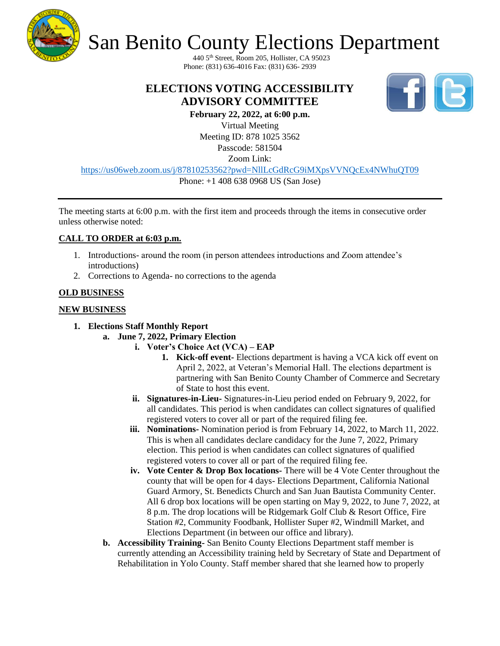

# San Benito County Elections Department

440 5th Street, Room 205, Hollister, CA 95023 Phone: (831) 636-4016 Fax: (831) 636- 2939

### **ELECTIONS VOTING ACCESSIBILITY ADVISORY COMMITTEE**



**February 22, 2022, at 6:00 p.m.** Virtual Meeting Meeting ID: 878 1025 3562 Passcode: 581504

Zoom Link:

<https://us06web.zoom.us/j/87810253562?pwd=NllLcGdRcG9iMXpsVVNQcEx4NWhuQT09> Phone: +1 408 638 0968 US (San Jose)

The meeting starts at 6:00 p.m. with the first item and proceeds through the items in consecutive order unless otherwise noted:

### **CALL TO ORDER at 6:03 p.m.**

- 1. Introductions- around the room (in person attendees introductions and Zoom attendee's introductions)
- 2. Corrections to Agenda- no corrections to the agenda

### **OLD BUSINESS**

### **NEW BUSINESS**

### **1. Elections Staff Monthly Report**

- **a. June 7, 2022, Primary Election**
	- **i. Voter's Choice Act (VCA) – EAP**
		- **1. Kick-off event-** Elections department is having a VCA kick off event on April 2, 2022, at Veteran's Memorial Hall. The elections department is partnering with San Benito County Chamber of Commerce and Secretary of State to host this event.
	- **ii. Signatures-in-Lieu-** Signatures-in-Lieu period ended on February 9, 2022, for all candidates. This period is when candidates can collect signatures of qualified registered voters to cover all or part of the required filing fee.
	- **iii. Nominations-** Nomination period is from February 14, 2022, to March 11, 2022. This is when all candidates declare candidacy for the June 7, 2022, Primary election. This period is when candidates can collect signatures of qualified registered voters to cover all or part of the required filing fee.
	- **iv. Vote Center & Drop Box locations-** There will be 4 Vote Center throughout the county that will be open for 4 days- Elections Department, California National Guard Armory, St. Benedicts Church and San Juan Bautista Community Center. All 6 drop box locations will be open starting on May 9, 2022, to June 7, 2022, at 8 p.m. The drop locations will be Ridgemark Golf Club & Resort Office, Fire Station #2, Community Foodbank, Hollister Super #2, Windmill Market, and Elections Department (in between our office and library).
	- **b. Accessibility Training-** San Benito County Elections Department staff member is currently attending an Accessibility training held by Secretary of State and Department of Rehabilitation in Yolo County. Staff member shared that she learned how to properly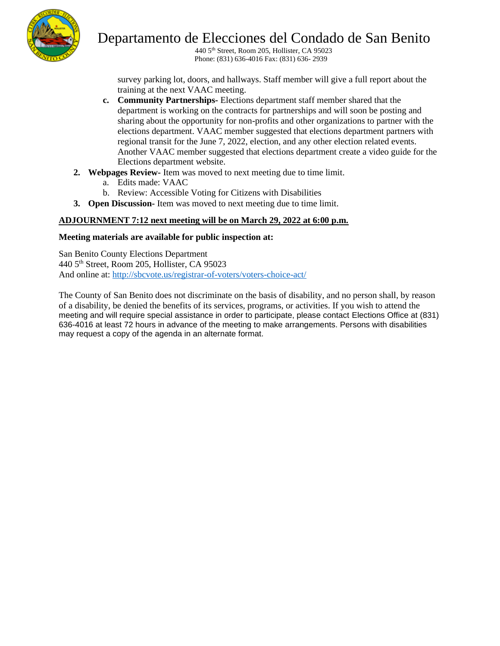

## Departamento de Elecciones del Condado de San Benito

440 5th Street, Room 205, Hollister, CA 95023 Phone: (831) 636-4016 Fax: (831) 636- 2939

survey parking lot, doors, and hallways. Staff member will give a full report about the training at the next VAAC meeting.

- **c. Community Partnerships-** Elections department staff member shared that the department is working on the contracts for partnerships and will soon be posting and sharing about the opportunity for non-profits and other organizations to partner with the elections department. VAAC member suggested that elections department partners with regional transit for the June 7, 2022, election, and any other election related events. Another VAAC member suggested that elections department create a video guide for the Elections department website.
- **2. Webpages Review-** Item was moved to next meeting due to time limit.
	- a. Edits made: VAAC
	- b. Review: Accessible Voting for Citizens with Disabilities
- **3. Open Discussion-** Item was moved to next meeting due to time limit.

#### **ADJOURNMENT 7:12 next meeting will be on March 29, 2022 at 6:00 p.m.**

#### **Meeting materials are available for public inspection at:**

San Benito County Elections Department 440 5th Street, Room 205, Hollister, CA 95023 And online at:<http://sbcvote.us/registrar-of-voters/voters-choice-act/>

The County of San Benito does not discriminate on the basis of disability, and no person shall, by reason of a disability, be denied the benefits of its services, programs, or activities. If you wish to attend the meeting and will require special assistance in order to participate, please contact Elections Office at (831) 636-4016 at least 72 hours in advance of the meeting to make arrangements. Persons with disabilities may request a copy of the agenda in an alternate format.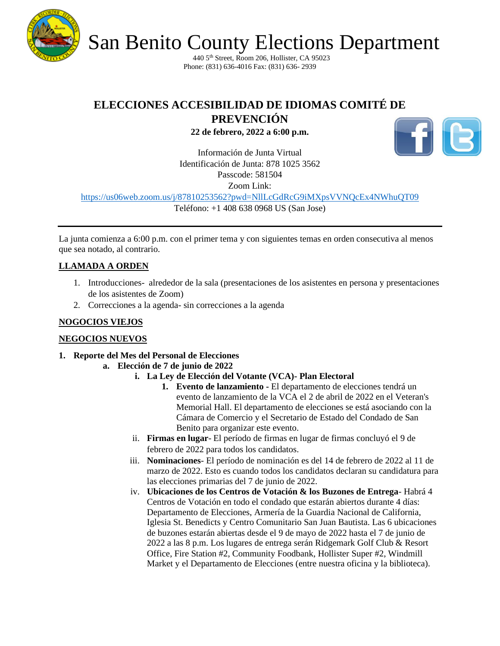

San Benito County Elections Department

440 5th Street, Room 206, Hollister, CA 95023 Phone: (831) 636-4016 Fax: (831) 636- 2939

### **ELECCIONES ACCESIBILIDAD DE IDIOMAS COMITÉ DE**

**PREVENCIÓN** 

**22 de febrero, 2022 a 6:00 p.m.**



Información de Junta Virtual Identificación de Junta: 878 1025 3562 Passcode: 581504 Zoom Link:

<https://us06web.zoom.us/j/87810253562?pwd=NllLcGdRcG9iMXpsVVNQcEx4NWhuQT09>

Teléfono: +1 408 638 0968 US (San Jose)

La junta comienza a 6:00 p.m. con el primer tema y con siguientes temas en orden consecutiva al menos que sea notado, al contrario.

### **LLAMADA A ORDEN**

- 1. Introducciones- alrededor de la sala (presentaciones de los asistentes en persona y presentaciones de los asistentes de Zoom)
- 2. Correcciones a la agenda- sin correcciones a la agenda

### **NOGOCIOS VIEJOS**

### **NEGOCIOS NUEVOS**

- **1. Reporte del Mes del Personal de Elecciones**
	- **a. Elección de 7 de junio de 2022**
		- **i. La Ley de Elección del Votante (VCA)- Plan Electoral**
			- **1. Evento de lanzamiento -** El departamento de elecciones tendrá un evento de lanzamiento de la VCA el 2 de abril de 2022 en el Veteran's Memorial Hall. El departamento de elecciones se está asociando con la Cámara de Comercio y el Secretario de Estado del Condado de San Benito para organizar este evento.
		- ii. **Firmas en lugar** El período de firmas en lugar de firmas concluyó el 9 de febrero de 2022 para todos los candidatos.
		- iii. **Nominaciones** El período de nominación es del 14 de febrero de 2022 al 11 de marzo de 2022. Esto es cuando todos los candidatos declaran su candidatura para las elecciones primarias del 7 de junio de 2022.
		- iv. **Ubicaciones de los Centros de Votación & los Buzones de Entrega** Habrá 4 Centros de Votación en todo el condado que estarán abiertos durante 4 días: Departamento de Elecciones, Armería de la Guardia Nacional de California, Iglesia St. Benedicts y Centro Comunitario San Juan Bautista. Las 6 ubicaciones de buzones estarán abiertas desde el 9 de mayo de 2022 hasta el 7 de junio de 2022 a las 8 p.m. Los lugares de entrega serán Ridgemark Golf Club & Resort Office, Fire Station #2, Community Foodbank, Hollister Super #2, Windmill Market y el Departamento de Elecciones (entre nuestra oficina y la biblioteca).